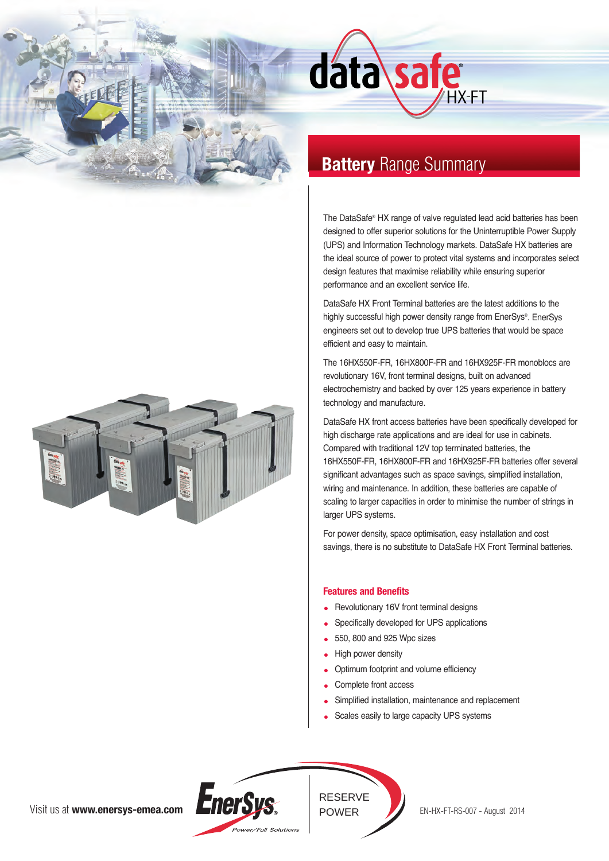



# **Battery Range Summary**

The DataSafe® HX range of valve regulated lead acid batteries has been designed to offer superior solutions for the Uninterruptible Power Supply (UPS) and Information Technology markets. DataSafe HX batteries are the ideal source of power to protect vital systems and incorporates select design features that maximise reliability while ensuring superior performance and an excellent service life.

HX-FT

DataSafe HX Front Terminal batteries are the latest additions to the highly successful high power density range from EnerSys®. EnerSys engineers set out to develop true UPS batteries that would be space efficient and easy to maintain.

The 16HX550F-FR, 16HX800F-FR and 16HX925F-FR monoblocs are revolutionary 16V, front terminal designs, built on advanced electrochemistry and backed by over 125 years experience in battery technology and manufacture.

DataSafe HX front access batteries have been specifically developed for high discharge rate applications and are ideal for use in cabinets. Compared with traditional 12V top terminated batteries, the 16HX550F-FR, 16HX800F-FR and 16HX925F-FR batteries offer several significant advantages such as space savings, simplified installation, wiring and maintenance. In addition, these batteries are capable of scaling to larger capacities in order to minimise the number of strings in larger UPS systems.

For power density, space optimisation, easy installation and cost savings, there is no substitute to DataSafe HX Front Terminal batteries.

### **Features and Benefits**

- Revolutionary 16V front terminal designs
- Specifically developed for UPS applications
- 550, 800 and 925 Wpc sizes
- High power density
- Optimum footprint and volume efficiency  $\bullet$
- Complete front access
- Simplified installation, maintenance and replacement
- Scales easily to large capacity UPS systems



RESERVE

POWER EN-HX-FT-RS-007 - August 2014